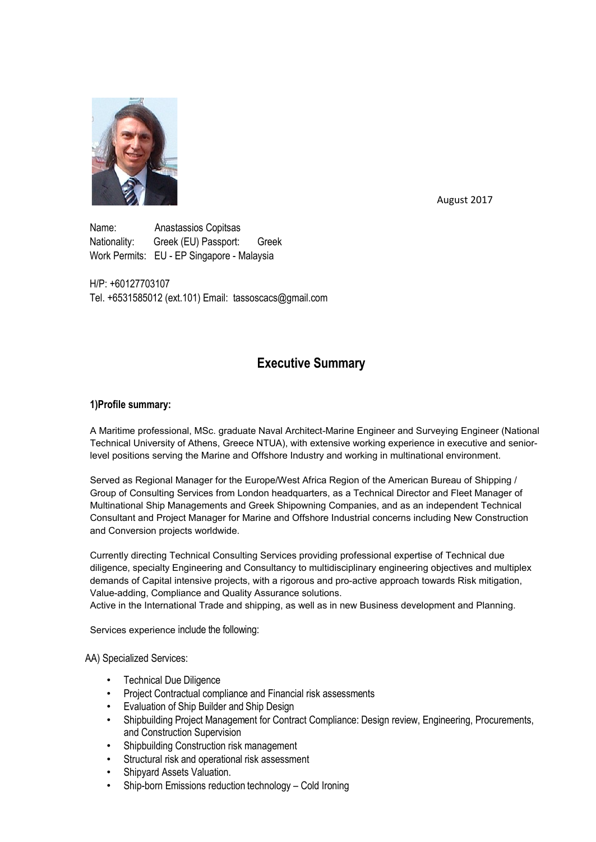

August 2017

Name: Anastassios Copitsas Nationality: Greek (EU) Passport: Greek Work Permits: EU - EP Singapore - Malaysia

H/P: +60127703107 Tel. +6531585012 (ext.101) Email: [tassoscacs@gmail.com](mailto:tassoscacs@gmail.com)

# **Executive Summary**

#### **1)Profile summary:**

A Maritime professional, MSc. graduate Naval Architect-Marine Engineer and Surveying Engineer (National Technical University of Athens, Greece NTUA), with extensive working experience in executive and seniorlevel positions serving the Marine and Offshore Industry and working in multinational environment.

Served as Regional Manager for the Europe/West Africa Region of the American Bureau of Shipping / Group of Consulting Services from London headquarters, as a Technical Director and Fleet Manager of Multinational Ship Managements and Greek Shipowning Companies, and as an independent Technical Consultant and Project Manager for Marine and Offshore Industrial concerns including New Construction and Conversion projects worldwide.

Currently directing Technical Consulting Services providing professional expertise of Technical due diligence, specialty Engineering and Consultancy to multidisciplinary engineering objectives and multiplex demands of Capital intensive projects, with a rigorous and pro-active approach towards Risk mitigation, Value-adding, Compliance and Quality Assurance solutions.

Active in the International Trade and shipping, as well as in new Business development and Planning.

Services experience include the following:

AA) Specialized Services:

- Technical Due Diligence
- Project Contractual compliance and Financial risk assessments
- Evaluation of Ship Builder and Ship Design
- Shipbuilding Project Management for Contract Compliance: Design review, Engineering, Procurements, and Construction Supervision
- Shipbuilding Construction risk management
- Structural risk and operational risk assessment
- Shipyard Assets Valuation.
- Ship-born Emissions reduction technology Cold Ironing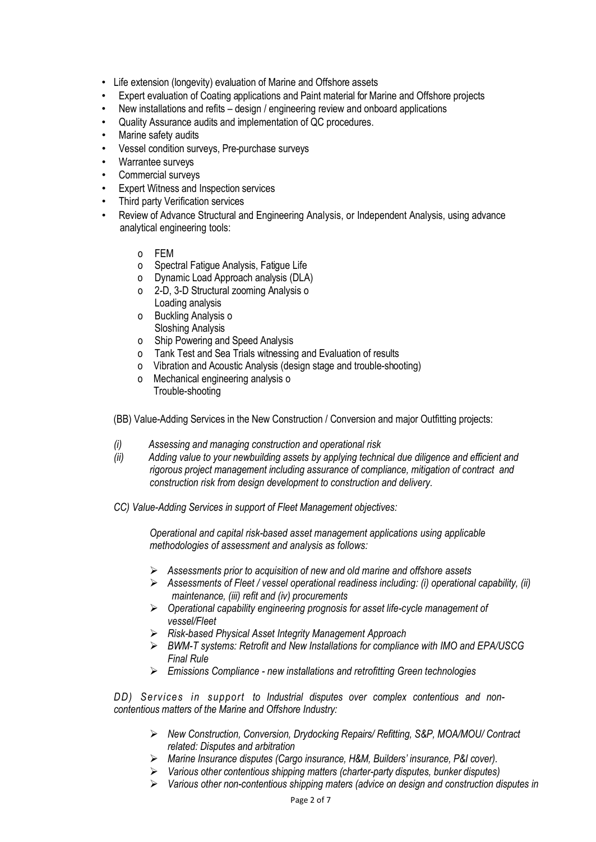- Life extension (longevity) evaluation of Marine and Offshore assets
- Expert evaluation of Coating applications and Paint material for Marine and Offshore projects
- New installations and refits design / engineering review and onboard applications
- Quality Assurance audits and implementation of QC procedures.
- Marine safety audits
- Vessel condition surveys, Pre-purchase surveys
- Warrantee surveys
- Commercial surveys
- Expert Witness and Inspection services
- Third party Verification services
- Review of Advance Structural and Engineering Analysis, or Independent Analysis, using advance analytical engineering tools:
	- o FEM
	- o Spectral Fatigue Analysis, Fatigue Life
	- o Dynamic Load Approach analysis (DLA)
	- o 2-D, 3-D Structural zooming Analysis o Loading analysis
	- o Buckling Analysis o Sloshing Analysis
	- o Ship Powering and Speed Analysis
	- o Tank Test and Sea Trials witnessing and Evaluation of results
	- o Vibration and Acoustic Analysis (design stage and trouble-shooting)
	- o Mechanical engineering analysis o Trouble-shooting

(BB) Value-Adding Services in the New Construction / Conversion and major Outfitting projects:

- *(i) Assessing and managing construction and operational risk*
- *(ii) Adding value to your newbuilding assets by applying technical due diligence and efficient and rigorous project management including assurance of compliance, mitigation of contract and construction risk from design development to construction and delivery.*
- *CC) Value-Adding Services in support of Fleet Management objectives:*

*Operational and capital risk-based asset management applications using applicable methodologies of assessment and analysis as follows:*

- *Assessments prior to acquisition of new and old marine and offshore assets*
- *Assessments of Fleet / vessel operational readiness including: (i) operational capability, (ii) maintenance, (iii) refit and (iv) procurements*
- *Operational capability engineering prognosis for asset life-cycle management of vessel/Fleet*
- *Risk-based Physical Asset Integrity Management Approach*
- *BWM-T systems: Retrofit and New Installations for compliance with IMO and EPA/USCG Final Rule*
- *Emissions Compliance - new installations and retrofitting Green technologies*

*DD) Services in support to Industrial disputes over complex contentious and noncontentious matters of the Marine and Offshore Industry:*

- *New Construction, Conversion, Drydocking Repairs/ Refitting, S&P, MOA/MOU/ Contract related: Disputes and arbitration*
- *Marine Insurance disputes (Cargo insurance, H&M, Builders' insurance, P&I cover).*
- *Various other contentious shipping matters (charter-party disputes, bunker disputes)*
- *Various other non-contentious shipping maters (advice on design and construction disputes in*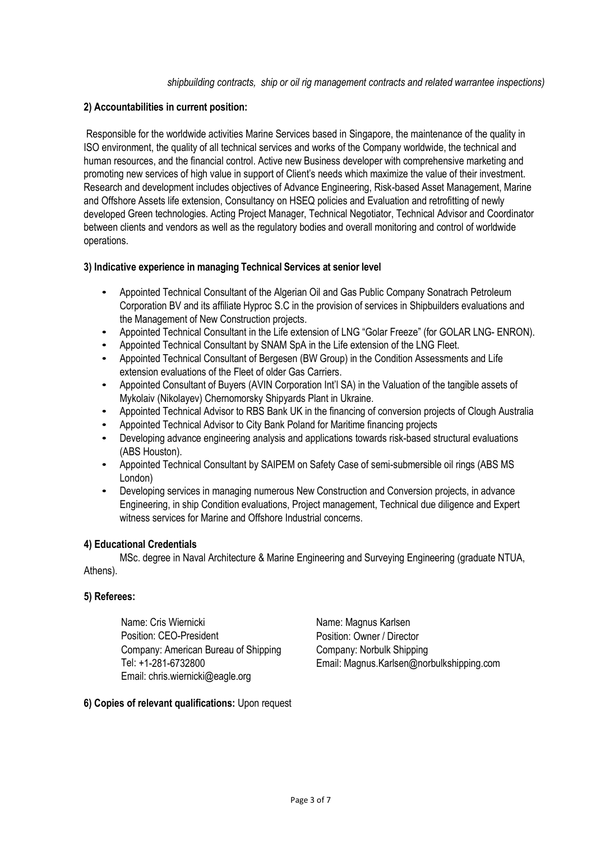### **2) Accountabilities in current position:**

Responsible for the worldwide activities Marine Services based in Singapore, the maintenance of the quality in ISO environment, the quality of all technical services and works of the Company worldwide, the technical and human resources, and the financial control. Active new Business developer with comprehensive marketing and promoting new services of high value in support of Client's needs which maximize the value of their investment. Research and development includes objectives of Advance Engineering, Risk-based Asset Management, Marine and Offshore Assets life extension, Consultancy on HSEQ policies and Evaluation and retrofitting of newly developed Green technologies. Acting Project Manager, Technical Negotiator, Technical Advisor and Coordinator between clients and vendors as well as the regulatory bodies and overall monitoring and control of worldwide operations.

## **3) Indicative experience in managing Technical Services at senior level**

- Appointed Technical Consultant of the Algerian Oil and Gas Public Company Sonatrach Petroleum Corporation BV and its affiliate Hyproc S.C in the provision of services in Shipbuilders evaluations and the Management of New Construction projects.
- Appointed Technical Consultant in the Life extension of LNG "Golar Freeze" (for GOLAR LNG- ENRON).
- Appointed Technical Consultant by SNAM SpA in the Life extension of the LNG Fleet.
- Appointed Technical Consultant of Bergesen (BW Group) in the Condition Assessments and Life extension evaluations of the Fleet of older Gas Carriers.
- Appointed Consultant of Buyers (AVIN Corporation Int'l SA) in the Valuation of the tangible assets of Mykolaiv (Nikolayev) Chernomorsky Shipyards Plant in Ukraine.
- Appointed Technical Advisor to RBS Bank UK in the financing of conversion projects of Clough Australia
- Appointed Technical Advisor to City Bank Poland for Maritime financing projects
- Developing advance engineering analysis and applications towards risk-based structural evaluations (ABS Houston).
- Appointed Technical Consultant by SAIPEM on Safety Case of semi-submersible oil rings (ABS MS London)
- Developing services in managing numerous New Construction and Conversion projects, in advance Engineering, in ship Condition evaluations, Project management, Technical due diligence and Expert witness services for Marine and Offshore Industrial concerns.

#### **4) Educational Credentials**

Athens). MSc. degree in Naval Architecture & Marine Engineering and Surveying Engineering (graduate NTUA,

#### **5) Referees:**

Name: Cris Wiernicki Name: Magnus Karlsen Position: CEO-President Position: Owner / Director Company: American Bureau of Shipping Company: Norbulk Shipping Email: [chris.wiernicki@eagle.org](mailto:chris.wiernicki@eagle.org)

Tel: +1-281-6732800 Email: [Magnus.Karlsen@norbulkshipping.com](mailto:Magnus.Karlsen@norbulkshipping.com)

#### **6) Copies of relevant qualifications:** Upon request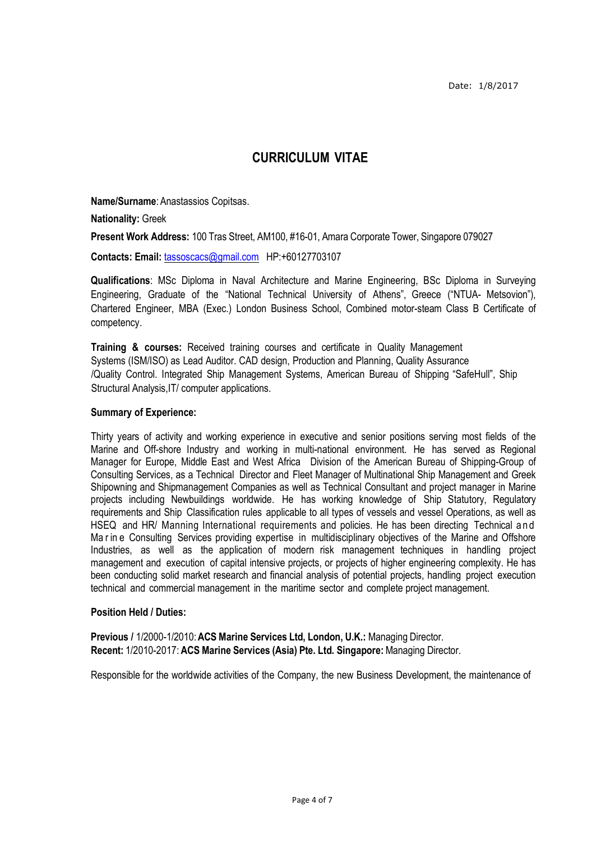Date: 1/8/2017

## **CURRICULUM VITAE**

**Name/Surname**: Anastassios Copitsas.

**Nationality:** Greek

**Present Work Address:** 100 Tras Street, AM100, #16-01, Amara Corporate Tower, Singapore 079027

**Contacts: Email:** [tassoscacs@gmail.com](mailto:tassoscacs@gmail.com) HP:+60127703107

**Qualifications**: MSc Diploma in Naval Architecture and Marine Engineering, BSc Diploma in Surveying Engineering, Graduate of the "National Technical University of Athens", Greece ("NTUA- Metsovion"), Chartered Engineer, MBA (Exec.) London Business School, Combined motor-steam Class B Certificate of competency.

**Training & courses:** Received training courses and certificate in Quality Management Systems (ISM/ISO) as Lead Auditor. CAD design, Production and Planning, Quality Assurance /Quality Control. Integrated Ship Management Systems, American Bureau of Shipping "SafeHull", Ship Structural Analysis,IT/ computer applications.

#### **Summary of Experience:**

Thirty years of activity and working experience in executive and senior positions serving most fields of the Marine and Off-shore Industry and working in multi-national environment. He has served as Regional Manager for Europe, Middle East and West Africa Division of the American Bureau of Shipping-Group of Consulting Services, as a Technical Director and Fleet Manager of Multinational Ship Management and Greek Shipowning and Shipmanagement Companies as well as Technical Consultant and project manager in Marine projects including Newbuildings worldwide. He has working knowledge of Ship Statutory, Regulatory requirements and Ship Classification rules applicable to all types of vessels and vessel Operations, as well as HSEQ and HR/ Manning International requirements and policies. He has been directing Technical and Ma r in e Consulting Services providing expertise in multidisciplinary objectives of the Marine and Offshore Industries, as well as the application of modern risk management techniques in handling project management and execution of capital intensive projects, or projects of higher engineering complexity. He has been conducting solid market research and financial analysis of potential projects, handling project execution technical and commercial management in the maritime sector and complete project management.

#### **Position Held / Duties:**

**Previous /** 1/2000-1/2010:**ACS Marine Services Ltd, London, U.K.:** Managing Director. **Recent:** 1/2010-2017: **ACS Marine Services (Asia) Pte. Ltd. Singapore:** Managing Director.

Responsible for the worldwide activities of the Company, the new Business Development, the maintenance of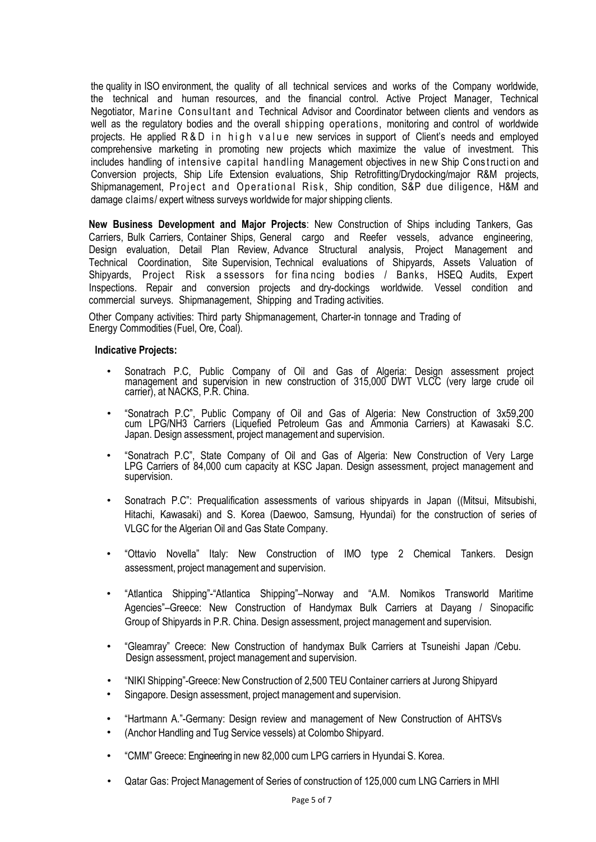the quality in ISO environment, the quality of all technical services and works of the Company worldwide, the technical and human resources, and the financial control. Active Project Manager, Technical Negotiator, Marine Consultant and Technical Advisor and Coordinator between clients and vendors as well as the regulatory bodies and the overall shipping operations, monitoring and control of worldwide projects. He applied  $R & D$  in high value new services in support of Client's needs and employed comprehensive marketing in promoting new projects which maximize the value of investment. This includes handling of intensive capital handling Management objectives in new Ship Construction and Conversion projects, Ship Life Extension evaluations, Ship Retrofitting/Drydocking/major R&M projects, Shipmanagement, Project and Operational Risk, Ship condition, S&P due diligence, H&M and damage claims/ expert witness surveys worldwide for major shipping clients.

**New Business Development and Major Projects**: New Construction of Ships including Tankers, Gas Carriers, Bulk Carriers, Container Ships, General cargo and Reefer vessels, advance engineering, Design evaluation, Detail Plan Review, Advance Structural analysis, Project Management and Technical Coordination, Site Supervision, Technical evaluations of Shipyards, Assets Valuation of Shipyards, Project Risk a ssessors for fina ncing bodies / Banks, HSEQ Audits, Expert Inspections. Repair and conversion projects and dry-dockings worldwide. Vessel condition and commercial surveys. Shipmanagement, Shipping and Trading activities.

Other Company activities: Third party Shipmanagement, Charter-in tonnage and Trading of Energy Commodities (Fuel, Ore, Coal).

#### **Indicative Projects:**

- Sonatrach P.C, Public Company of Oil and Gas of Algeria: Design assessment project management and supervision in new construction of 315,000 DWT VLCC (very large crude oil carrier), at NACKS, P.R. China.
- "Sonatrach P.C", Public Company of Oil and Gas of Algeria: New Construction of 3x59,200 cum LPG/NH3 Carriers (Liquefied Petroleum Gas and Ammonia Carriers) at Kawasaki S.C.<br>Japan. Design assessment, project management and supervision.
- "Sonatrach P.C", State Company of Oil and Gas of Algeria: New Construction of Very Large LPG Carriers of 84,000 cum capacity at KSC Japan. Design assessment, project management and supervision.
- Sonatrach P.C": Prequalification assessments of various shipyards in Japan ((Mitsui, Mitsubishi, Hitachi, Kawasaki) and S. Korea (Daewoo, Samsung, Hyundai) for the construction of series of VLGC for the Algerian Oil and Gas State Company.
- "Ottavio Novella" Italy: New Construction of IMO type 2 Chemical Tankers. Design assessment, project management and supervision.
- "Atlantica Shipping"-"Atlantica Shipping"–Norway and "A.M. Nomikos Transworld Maritime Agencies"–Greece: New Construction of Handymax Bulk Carriers at Dayang / Sinopacific Group of Shipyards in P.R. China. Design assessment, project management and supervision.
- "Gleamray" Creece: New Construction of handymax Bulk Carriers at Tsuneishi Japan /Cebu. Design assessment, project management and supervision.
- "NIKI Shipping"-Greece: New Construction of 2,500 TEU Container carriers at Jurong Shipyard
- Singapore. Design assessment, project management and supervision.
- "Hartmann A."-Germany: Design review and management of New Construction of AHTSVs
- (Anchor Handling and Tug Service vessels) at Colombo Shipyard.
- "CMM" Greece: Engineering in new 82,000 cum LPG carriers in Hyundai S. Korea.
- Qatar Gas: Project Management of Series of construction of 125,000 cum LNG Carriers in MHI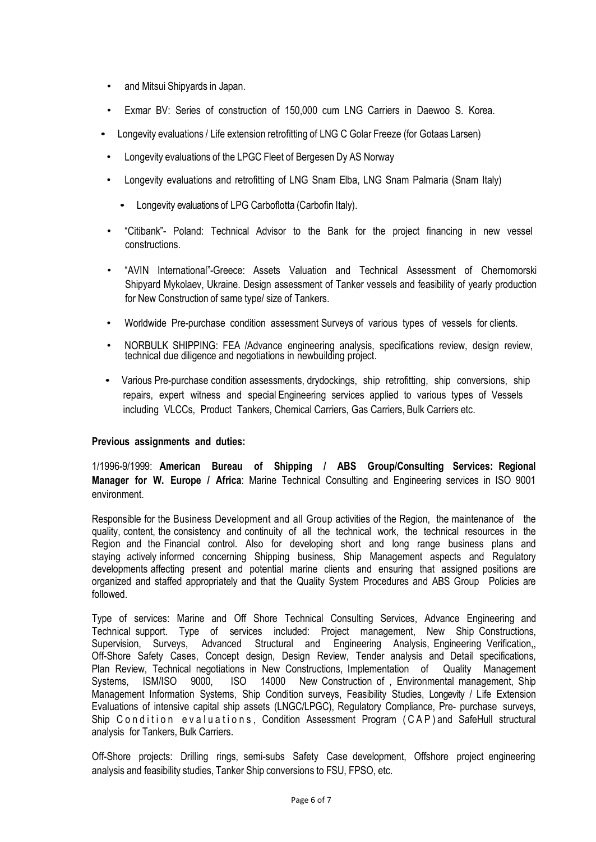- and Mitsui Shipyards in Japan.
- Exmar BV: Series of construction of 150,000 cum LNG Carriers in Daewoo S. Korea.
- Longevity evaluations / Life extension retrofitting of LNG C Golar Freeze (for Gotaas Larsen)
	- Longevity evaluations of the LPGC Fleet of Bergesen Dy AS Norway
- Longevity evaluations and retrofitting of LNG Snam Elba, LNG Snam Palmaria (Snam Italy)
	- Longevity evaluations of LPG Carboflotta (Carbofin Italy).
- "Citibank"- Poland: Technical Advisor to the Bank for the project financing in new vessel constructions.
- "AVIN International"-Greece: Assets Valuation and Technical Assessment of Chernomorski Shipyard Mykolaev, Ukraine. Design assessment of Tanker vessels and feasibility of yearly production for New Construction of same type/ size of Tankers.
- Worldwide Pre-purchase condition assessment Surveys of various types of vessels for clients.
- NORBULK SHIPPING: FEA /Advance engineering analysis, specifications review, design review, technical due diligence and negotiations in newbuilding project.
- Various Pre-purchase condition assessments, drydockings, ship retrofitting, ship conversions, ship repairs, expert witness and special Engineering services applied to various types of Vessels including VLCCs, Product Tankers, Chemical Carriers, Gas Carriers, Bulk Carriers etc.

## **Previous assignments and duties:**

1/1996-9/1999: **American Bureau of Shipping / ABS Group/Consulting Services: Regional Manager for W. Europe / Africa**: Marine Technical Consulting and Engineering services in ISO 9001 environment.

Responsible for the Business Development and all Group activities of the Region, the maintenance of the quality, content, the consistency and continuity of all the technical work, the technical resources in the Region and the Financial control. Also for developing short and long range business plans and staying actively informed concerning Shipping business, Ship Management aspects and Regulatory developments affecting present and potential marine clients and ensuring that assigned positions are organized and staffed appropriately and that the Quality System Procedures and ABS Group Policies are followed.

Type of services: Marine and Off Shore Technical Consulting Services, Advance Engineering and Technical support. Type of services included: Project management, New Ship Constructions, Supervision, Surveys, Advanced Structural and Engineering Analysis, Engineering Verification,, Off-Shore Safety Cases, Concept design, Design Review, Tender analysis and Detail specifications, Plan Review, Technical negotiations in New Constructions, Implementation of Quality Management Systems, ISM/ISO 9000, ISO 14000 New Construction of , Environmental management, Ship Management Information Systems, Ship Condition surveys, Feasibility Studies, Longevity / Life Extension Evaluations of intensive capital ship assets (LNGC/LPGC), Regulatory Compliance, Pre- purchase surveys, Ship Condition evaluations, Condition Assessment Program (CAP) and SafeHull structural analysis for Tankers, Bulk Carriers.

Off-Shore projects: Drilling rings, semi-subs Safety Case development, Offshore project engineering analysis and feasibility studies, Tanker Ship conversions to FSU, FPSO, etc.